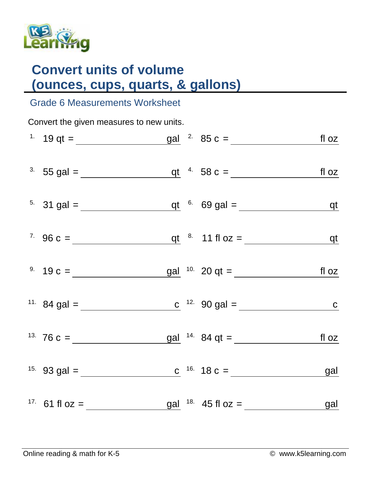

## **Convert units of volume (ounces, cups, quarts, & gallons)**

## Grade 6 Measurements Worksheet

| Convert the given measures to new units. |                                                                                                                           |  |  |  |  |  |  |  |  |
|------------------------------------------|---------------------------------------------------------------------------------------------------------------------------|--|--|--|--|--|--|--|--|
|                                          | <sup>1</sup> $19 \text{ qt} =$ $\frac{\text{gal}}{\text{gal}}$ $\frac{2}{15} \text{ og } =$ $\frac{\text{fl}}{\text{OZ}}$ |  |  |  |  |  |  |  |  |
|                                          | <sup>3</sup> 55 gal = $q t$ $4$ 58 c = $f l oz$                                                                           |  |  |  |  |  |  |  |  |
|                                          | <sup>5.</sup> 31 gal = $q t$ <sup>6.</sup> 69 gal = $q t$                                                                 |  |  |  |  |  |  |  |  |
|                                          | <sup>7</sup> 96 c = $q t$ <sup>8</sup> 11 fl oz = $q t$                                                                   |  |  |  |  |  |  |  |  |
|                                          |                                                                                                                           |  |  |  |  |  |  |  |  |
|                                          | <sup>11.</sup> 84 gal = <u>c</u> <sup>12.</sup> 90 gal = <u>c</u> <sup>12.</sup> 90 gal =                                 |  |  |  |  |  |  |  |  |
|                                          | <sup>13.</sup> 76 c = $\underline{\qquad \qquad}$ gal <sup>14.</sup> 84 qt = $\underline{\qquad \qquad}$ fl oz            |  |  |  |  |  |  |  |  |
|                                          | <sup>15.</sup> 93 gal = $\frac{c}{c}$ <sup>16.</sup> 18 c = $\frac{g}{c}$                                                 |  |  |  |  |  |  |  |  |
|                                          | <sup>17</sup> 61 fl oz = $\frac{gal}{\sqrt{18}}$ 18. 45 fl oz = $\frac{gal}{\sqrt{18}}$                                   |  |  |  |  |  |  |  |  |